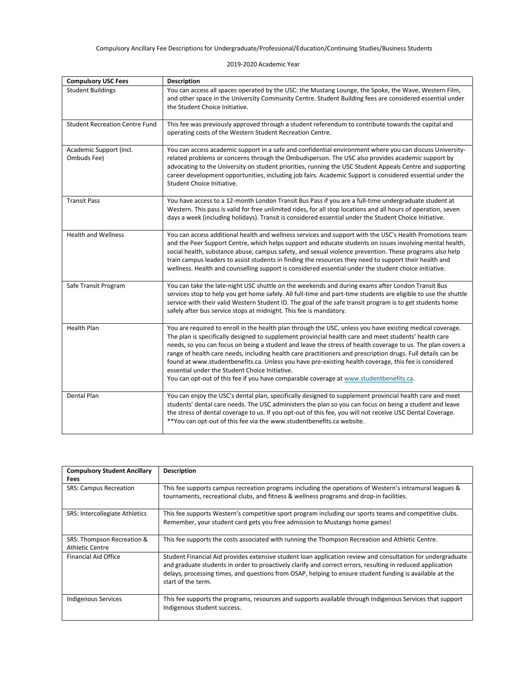2019-2020 Academic Year

| <b>Compulsory USC Fees</b>             | <b>Description</b>                                                                                                                                                                                                                                                                                                                                                                                                                                                                                                                                                                                                                                                                                    |
|----------------------------------------|-------------------------------------------------------------------------------------------------------------------------------------------------------------------------------------------------------------------------------------------------------------------------------------------------------------------------------------------------------------------------------------------------------------------------------------------------------------------------------------------------------------------------------------------------------------------------------------------------------------------------------------------------------------------------------------------------------|
| <b>Student Buildings</b>               | You can access all spaces operated by the USC: the Mustang Lounge, the Spoke, the Wave, Western Film,<br>and other space in the University Community Centre. Student Building fees are considered essential under<br>the Student Choice Initiative.                                                                                                                                                                                                                                                                                                                                                                                                                                                   |
| <b>Student Recreation Centre Fund</b>  | This fee was previously approved through a student referendum to contribute towards the capital and<br>operating costs of the Western Student Recreation Centre.                                                                                                                                                                                                                                                                                                                                                                                                                                                                                                                                      |
| Academic Support (incl.<br>Ombuds Fee) | You can access academic support in a safe and confidential environment where you can discuss University-<br>related problems or concerns through the Ombudsperson. The USC also provides academic support by<br>advocating to the University on student priorities, running the USC Student Appeals Centre and supporting<br>career development opportunities, including job fairs. Academic Support is considered essential under the<br>Student Choice Initiative.                                                                                                                                                                                                                                  |
| <b>Transit Pass</b>                    | You have access to a 12-month London Transit Bus Pass if you are a full-time undergraduate student at<br>Western. This pass is valid for free unlimited rides, for all stop locations and all hours of operation, seven<br>days a week (including holidays). Transit is considered essential under the Student Choice Initiative.                                                                                                                                                                                                                                                                                                                                                                     |
| <b>Health and Wellness</b>             | You can access additional health and wellness services and support with the USC's Health Promotions team<br>and the Peer Support Centre, which helps support and educate students on issues involving mental health,<br>social health, substance abuse, campus safety, and sexual violence prevention. These programs also help<br>train campus leaders to assist students in finding the resources they need to support their health and<br>wellness. Health and counselling support is considered essential under the student choice initiative.                                                                                                                                                    |
| Safe Transit Program                   | You can take the late-night USC shuttle on the weekends and during exams after London Transit Bus<br>services stop to help you get home safely. All full-time and part-time students are eligible to use the shuttle<br>service with their valid Western Student ID. The goal of the safe transit program is to get students home<br>safely after bus service stops at midnight. This fee is mandatory.                                                                                                                                                                                                                                                                                               |
| <b>Health Plan</b>                     | You are required to enroll in the health plan through the USC, unless you have existing medical coverage.<br>The plan is specifically designed to supplement provincial health care and meet students' health care<br>needs, so you can focus on being a student and leave the stress of health coverage to us. The plan covers a<br>range of health care needs, including health care practitioners and prescription drugs. Full details can be<br>found at www.studentbenefits.ca. Unless you have pre-existing health coverage, this fee is considered<br>essential under the Student Choice Initiative.<br>You can opt-out of this fee if you have comparable coverage at www.studentbenefits.ca. |
| Dental Plan                            | You can enjoy the USC's dental plan, specifically designed to supplement provincial health care and meet<br>students' dental care needs. The USC administers the plan so you can focus on being a student and leave<br>the stress of dental coverage to us. If you opt-out of this fee, you will not receive USC Dental Coverage.<br>** You can opt-out of this fee via the www.studentbenefits.ca website.                                                                                                                                                                                                                                                                                           |

| <b>Compulsory Student Ancillary</b>                  | <b>Description</b>                                                                                                                                                                                                                                                                                                                                          |
|------------------------------------------------------|-------------------------------------------------------------------------------------------------------------------------------------------------------------------------------------------------------------------------------------------------------------------------------------------------------------------------------------------------------------|
| Fees                                                 |                                                                                                                                                                                                                                                                                                                                                             |
| <b>SRS: Campus Recreation</b>                        | This fee supports campus recreation programs including the operations of Western's intramural leagues &<br>tournaments, recreational clubs, and fitness & wellness programs and drop-in facilities.                                                                                                                                                         |
| SRS: Intercollegiate Athletics                       | This fee supports Western's competitive sport program including our sports teams and competitive clubs.<br>Remember, your student card gets you free admission to Mustangs home games!                                                                                                                                                                      |
| SRS: Thompson Recreation &<br><b>Athletic Centre</b> | This fee supports the costs associated with running the Thompson Recreation and Athletic Centre.                                                                                                                                                                                                                                                            |
| <b>Financial Aid Office</b>                          | Student Financial Aid provides extensive student loan application review and consultation for undergraduate<br>and graduate students in order to proactively clarify and correct errors, resulting in reduced application<br>delays, processing times, and questions from OSAP, helping to ensure student funding is available at the<br>start of the term. |
| Indigenous Services                                  | This fee supports the programs, resources and supports available through Indigenous Services that support<br>Indigenous student success.                                                                                                                                                                                                                    |